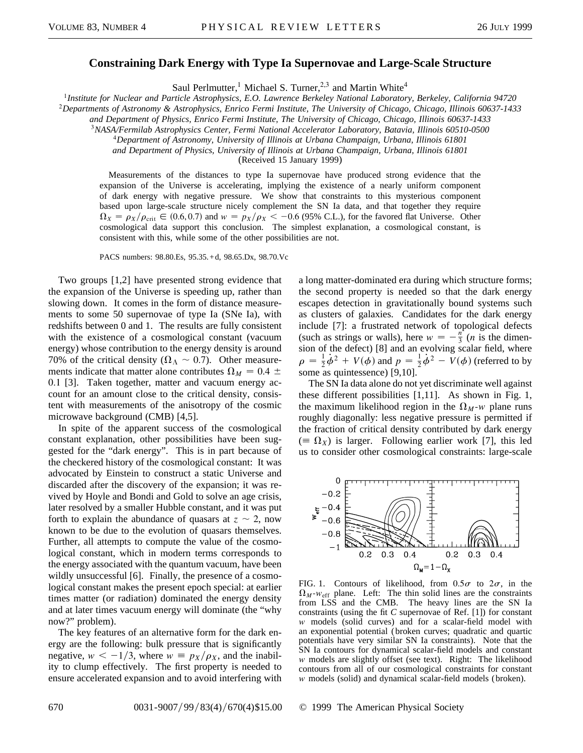## **Constraining Dark Energy with Type Ia Supernovae and Large-Scale Structure**

Saul Perlmutter,<sup>1</sup> Michael S. Turner,<sup>2,3</sup> and Martin White<sup>4</sup>

<sup>1</sup>*Institute for Nuclear and Particle Astrophysics, E.O. Lawrence Berkeley National Laboratory, Berkeley, California 94720*

<sup>2</sup>*Departments of Astronomy & Astrophysics, Enrico Fermi Institute, The University of Chicago, Chicago, Illinois 60637-1433*

*and Department of Physics, Enrico Fermi Institute, The University of Chicago, Chicago, Illinois 60637-1433*

<sup>3</sup>*NASA/Fermilab Astrophysics Center, Fermi National Accelerator Laboratory, Batavia, Illinois 60510-0500*

<sup>4</sup>*Department of Astronomy, University of Illinois at Urbana Champaign, Urbana, Illinois 61801*

*and Department of Physics, University of Illinois at Urbana Champaign, Urbana, Illinois 61801*

(Received 15 January 1999)

Measurements of the distances to type Ia supernovae have produced strong evidence that the expansion of the Universe is accelerating, implying the existence of a nearly uniform component of dark energy with negative pressure. We show that constraints to this mysterious component based upon large-scale structure nicely complement the SN Ia data, and that together they require  $\Omega_X = \rho_X/\rho_{\text{crit}} \in (0.6, 0.7)$  and  $w = p_X/\rho_X < -0.6$  (95% C.L.), for the favored flat Universe. Other cosmological data support this conclusion. The simplest explanation, a cosmological constant, is consistent with this, while some of the other possibilities are not.

PACS numbers: 98.80.Es, 95.35.+d, 98.65.Dx, 98.70.Vc

Two groups [1,2] have presented strong evidence that the expansion of the Universe is speeding up, rather than slowing down. It comes in the form of distance measurements to some 50 supernovae of type Ia (SNe Ia), with redshifts between 0 and 1. The results are fully consistent with the existence of a cosmological constant (vacuum energy) whose contribution to the energy density is around 70% of the critical density ( $\Omega_{\Lambda} \sim 0.7$ ). Other measurements indicate that matter alone contributes  $\Omega_M = 0.4 \pm$ 0.1 [3]. Taken together, matter and vacuum energy account for an amount close to the critical density, consistent with measurements of the anisotropy of the cosmic microwave background (CMB) [4,5].

In spite of the apparent success of the cosmological constant explanation, other possibilities have been suggested for the "dark energy". This is in part because of the checkered history of the cosmological constant: It was advocated by Einstein to construct a static Universe and discarded after the discovery of the expansion; it was revived by Hoyle and Bondi and Gold to solve an age crisis, later resolved by a smaller Hubble constant, and it was put forth to explain the abundance of quasars at  $z \sim 2$ , now known to be due to the evolution of quasars themselves. Further, all attempts to compute the value of the cosmological constant, which in modern terms corresponds to the energy associated with the quantum vacuum, have been wildly unsuccessful [6]. Finally, the presence of a cosmological constant makes the present epoch special: at earlier times matter (or radiation) dominated the energy density and at later times vacuum energy will dominate (the "why now?" problem).

The key features of an alternative form for the dark energy are the following: bulk pressure that is significantly negative,  $w < -1/3$ , where  $w = p_X/p_X$ , and the inability to clump effectively. The first property is needed to ensure accelerated expansion and to avoid interfering with

a long matter-dominated era during which structure forms; the second property is needed so that the dark energy escapes detection in gravitationally bound systems such as clusters of galaxies. Candidates for the dark energy include [7]: a frustrated network of topological defects (such as strings or walls), here  $w = -\frac{n^2}{3}$  (*n* is the dimension of the defect) [8] and an evolving scalar field, where  $\rho = \frac{1}{2}\dot{\phi}^2 + V(\phi)$  and  $p = \frac{1}{2}\dot{\phi}^2 - V(\phi)$  (referred to by some as quintessence) [9,10].

The SN Ia data alone do not yet discriminate well against these different possibilities [1,11]. As shown in Fig. 1, the maximum likelihood region in the  $\Omega_M$ -*w* plane runs roughly diagonally: less negative pressure is permitted if the fraction of critical density contributed by dark energy  $(\equiv \Omega_X)$  is larger. Following earlier work [7], this led us to consider other cosmological constraints: large-scale



FIG. 1. Contours of likelihood, from  $0.5\sigma$  to  $2\sigma$ , in the  $\Omega_M$ - $w_{\text{eff}}$  plane. Left: The thin solid lines are the constraints from LSS and the CMB. The heavy lines are the SN Ia constraints (using the fit *C* supernovae of Ref. [1]) for constant *w* models (solid curves) and for a scalar-field model with an exponential potential (broken curves; quadratic and quartic potentials have very similar SN Ia constraints). Note that the SN Ia contours for dynamical scalar-field models and constant *w* models are slightly offset (see text). Right: The likelihood contours from all of our cosmological constraints for constant *w* models (solid) and dynamical scalar-field models (broken).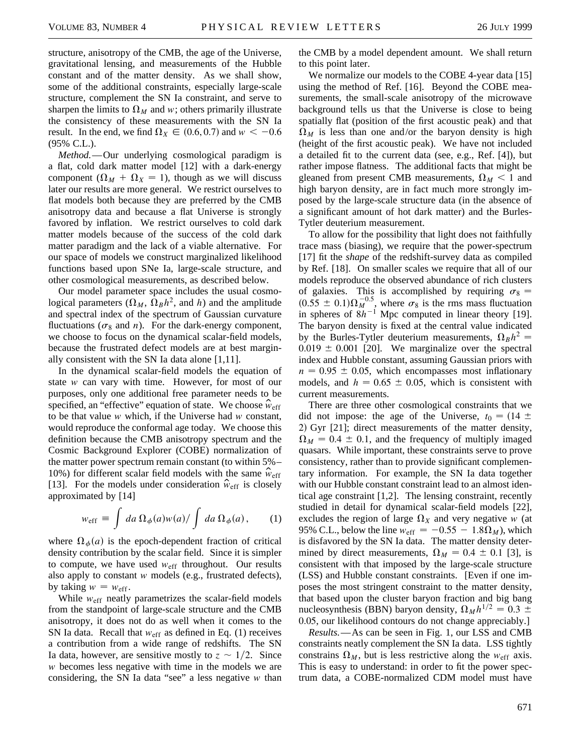structure, anisotropy of the CMB, the age of the Universe, gravitational lensing, and measurements of the Hubble constant and of the matter density. As we shall show, some of the additional constraints, especially large-scale structure, complement the SN Ia constraint, and serve to sharpen the limits to  $\Omega_M$  and *w*; others primarily illustrate the consistency of these measurements with the SN Ia result. In the end, we find  $\Omega_X \in (0.6, 0.7)$  and  $w < -0.6$ (95% C.L.).

*Method.*—Our underlying cosmological paradigm is a flat, cold dark matter model [12] with a dark-energy component  $(\Omega_M + \Omega_X = 1)$ , though as we will discuss later our results are more general. We restrict ourselves to flat models both because they are preferred by the CMB anisotropy data and because a flat Universe is strongly favored by inflation. We restrict ourselves to cold dark matter models because of the success of the cold dark matter paradigm and the lack of a viable alternative. For our space of models we construct marginalized likelihood functions based upon SNe Ia, large-scale structure, and other cosmological measurements, as described below.

Our model parameter space includes the usual cosmological parameters  $(\Omega_M, \Omega_B h^2,$  and *h*) and the amplitude and spectral index of the spectrum of Gaussian curvature fluctuations ( $\sigma_8$  and *n*). For the dark-energy component, we choose to focus on the dynamical scalar-field models, because the frustrated defect models are at best marginally consistent with the SN Ia data alone [1,11].

In the dynamical scalar-field models the equation of state *w* can vary with time. However, for most of our purposes, only one additional free parameter needs to be specified, an "effective" equation of state. We choose  $\hat{w}_{eff}$ to be that value *w* which, if the Universe had *w* constant, would reproduce the conformal age today. We choose this definition because the CMB anisotropy spectrum and the Cosmic Background Explorer (COBE) normalization of the matter power spectrum remain constant (to within 5%– 10%) for different scalar field models with the same  $\hat{w}_{eff}$ [13]. For the models under consideration  $\hat{w}_{\text{eff}}$  is closely approximated by [14]

$$
w_{\rm eff} \equiv \int da \,\Omega_{\phi}(a) w(a) / \int da \,\Omega_{\phi}(a) \,, \qquad (1)
$$

where  $\Omega_{\phi}(a)$  is the epoch-dependent fraction of critical density contribution by the scalar field. Since it is simpler to compute, we have used  $w_{\text{eff}}$  throughout. Our results also apply to constant *w* models (e.g., frustrated defects), by taking  $w = w_{\text{eff}}$ .

While  $w_{\text{eff}}$  neatly parametrizes the scalar-field models from the standpoint of large-scale structure and the CMB anisotropy, it does not do as well when it comes to the SN Ia data. Recall that  $w_{\text{eff}}$  as defined in Eq. (1) receives a contribution from a wide range of redshifts. The SN Ia data, however, are sensitive mostly to  $z \sim 1/2$ . Since *w* becomes less negative with time in the models we are considering, the SN Ia data "see" a less negative *w* than

the CMB by a model dependent amount. We shall return to this point later.

We normalize our models to the COBE 4-year data [15] using the method of Ref. [16]. Beyond the COBE measurements, the small-scale anisotropy of the microwave background tells us that the Universe is close to being spatially flat (position of the first acoustic peak) and that  $\Omega_M$  is less than one and/or the baryon density is high (height of the first acoustic peak). We have not included a detailed fit to the current data (see, e.g., Ref. [4]), but rather impose flatness. The additional facts that might be gleaned from present CMB measurements,  $\Omega_M < 1$  and high baryon density, are in fact much more strongly imposed by the large-scale structure data (in the absence of a significant amount of hot dark matter) and the Burles-Tytler deuterium measurement.

To allow for the possibility that light does not faithfully trace mass (biasing), we require that the power-spectrum [17] fit the *shape* of the redshift-survey data as compiled by Ref. [18]. On smaller scales we require that all of our models reproduce the observed abundance of rich clusters of galaxies. This is accomplished by requiring  $\sigma_8 =$  $(0.55 \pm 0.1)\Omega_M^{-0.5}$ , where  $\sigma_8$  is the rms mass fluctuation in spheres of  $8h^{-1}$  Mpc computed in linear theory [19]. The baryon density is fixed at the central value indicated by the Burles-Tytler deuterium measurements,  $\Omega_B h^2 =$  $0.019 \pm 0.001$  [20]. We marginalize over the spectral index and Hubble constant, assuming Gaussian priors with  $n = 0.95 \pm 0.05$ , which encompasses most inflationary models, and  $h = 0.65 \pm 0.05$ , which is consistent with current measurements.

There are three other cosmological constraints that we did not impose: the age of the Universe,  $t_0 = (14 \pm 1)$ 2) Gyr [21]; direct measurements of the matter density,  $\Omega_M = 0.4 \pm 0.1$ , and the frequency of multiply imaged quasars. While important, these constraints serve to prove consistency, rather than to provide significant complementary information. For example, the SN Ia data together with our Hubble constant constraint lead to an almost identical age constraint [1,2]. The lensing constraint, recently studied in detail for dynamical scalar-field models [22], excludes the region of large  $\Omega_X$  and very negative *w* (at 95% C.L., below the line  $w_{\text{eff}} = -0.55 - 1.8\Omega_M$ , which is disfavored by the SN Ia data. The matter density determined by direct measurements,  $\Omega_M = 0.4 \pm 0.1$  [3], is consistent with that imposed by the large-scale structure (LSS) and Hubble constant constraints. [Even if one imposes the most stringent constraint to the matter density, that based upon the cluster baryon fraction and big bang nucleosynthesis (BBN) baryon density,  $\Omega_M h^{1/2} = 0.3 \pm$ 0.05, our likelihood contours do not change appreciably.]

*Results.*—As can be seen in Fig. 1, our LSS and CMB constraints neatly complement the SN Ia data. LSS tightly constrains  $\Omega_M$ , but is less restrictive along the  $w_{\text{eff}}$  axis. This is easy to understand: in order to fit the power spectrum data, a COBE-normalized CDM model must have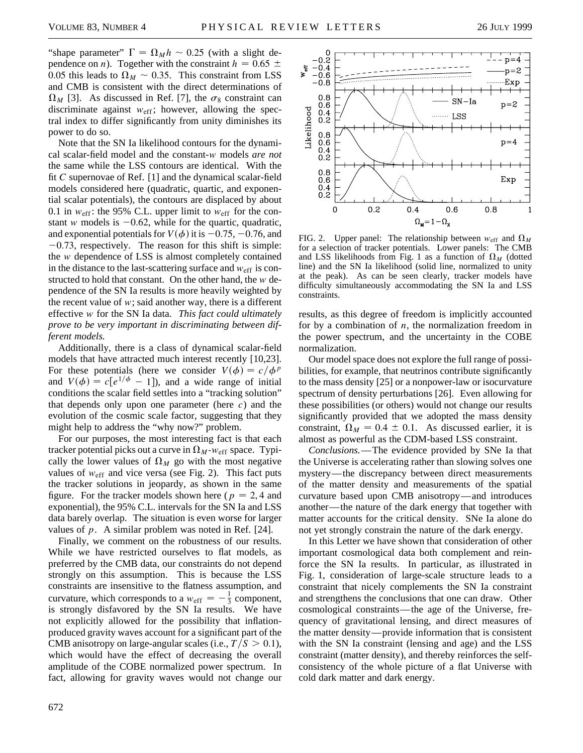"shape parameter"  $\Gamma = \Omega_M h \sim 0.25$  (with a slight dependence on *n*). Together with the constraint  $h = 0.65 \pm 0.65$ 0.05 this leads to  $\Omega_M \sim 0.35$ . This constraint from LSS and CMB is consistent with the direct determinations of  $\Omega_M$  [3]. As discussed in Ref. [7], the  $\sigma_8$  constraint can discriminate against  $w_{\text{eff}}$ ; however, allowing the spectral index to differ significantly from unity diminishes its power to do so.

Note that the SN Ia likelihood contours for the dynamical scalar-field model and the constant-*w* models *are not* the same while the LSS contours are identical. With the fit *C* supernovae of Ref. [1] and the dynamical scalar-field models considered here (quadratic, quartic, and exponential scalar potentials), the contours are displaced by about 0.1 in  $w_{\text{eff}}$ : the 95% C.L. upper limit to  $w_{\text{eff}}$  for the constant *w* models is  $-0.62$ , while for the quartic, quadratic, and exponential potentials for  $V(\phi)$  it is  $-0.75, -0.76$ , and  $-0.73$ , respectively. The reason for this shift is simple: the *w* dependence of LSS is almost completely contained in the distance to the last-scattering surface and  $w_{eff}$  is constructed to hold that constant. On the other hand, the *w* dependence of the SN Ia results is more heavily weighted by the recent value of  $w$ ; said another way, there is a different effective *w* for the SN Ia data. *This fact could ultimately prove to be very important in discriminating between different models.*

Additionally, there is a class of dynamical scalar-field models that have attracted much interest recently [10,23]. For these potentials (here we consider  $V(\phi) = c/\phi^p$ and  $V(\phi) = c[e^{1/\phi} - 1]$ , and a wide range of initial conditions the scalar field settles into a "tracking solution" that depends only upon one parameter (here *c*) and the evolution of the cosmic scale factor, suggesting that they might help to address the "why now?" problem.

For our purposes, the most interesting fact is that each tracker potential picks out a curve in  $\Omega_M$ - $w_{\text{eff}}$  space. Typically the lower values of  $\Omega_M$  go with the most negative values of  $w_{\text{eff}}$  and vice versa (see Fig. 2). This fact puts the tracker solutions in jeopardy, as shown in the same figure. For the tracker models shown here ( $p = 2, 4$  and exponential), the 95% C.L. intervals for the SN Ia and LSS data barely overlap. The situation is even worse for larger values of *p*. A similar problem was noted in Ref. [24].

Finally, we comment on the robustness of our results. While we have restricted ourselves to flat models, as preferred by the CMB data, our constraints do not depend strongly on this assumption. This is because the LSS constraints are insensitive to the flatness assumption, and curvature, which corresponds to a  $w_{\text{eff}} = -\frac{1}{3}$  component, is strongly disfavored by the SN Ia results. We have not explicitly allowed for the possibility that inflationproduced gravity waves account for a significant part of the CMB anisotropy on large-angular scales (i.e.,  $T/S > 0.1$ ), which would have the effect of decreasing the overall amplitude of the COBE normalized power spectrum. In fact, allowing for gravity waves would not change our



FIG. 2. Upper panel: The relationship between  $w_{\text{eff}}$  and  $\Omega_M$ for a selection of tracker potentials. Lower panels: The CMB and LSS likelihoods from Fig. 1 as a function of  $\Omega_M$  (dotted line) and the SN Ia likelihood (solid line, normalized to unity at the peak). As can be seen clearly, tracker models have difficulty simultaneously accommodating the SN Ia and LSS constraints.

results, as this degree of freedom is implicitly accounted for by a combination of *n*, the normalization freedom in the power spectrum, and the uncertainty in the COBE normalization.

Our model space does not explore the full range of possibilities, for example, that neutrinos contribute significantly to the mass density [25] or a nonpower-law or isocurvature spectrum of density perturbations [26]. Even allowing for these possibilities (or others) would not change our results significantly provided that we adopted the mass density constraint,  $\Omega_M = 0.4 \pm 0.1$ . As discussed earlier, it is almost as powerful as the CDM-based LSS constraint.

*Conclusions.*—The evidence provided by SNe Ia that the Universe is accelerating rather than slowing solves one mystery—the discrepancy between direct measurements of the matter density and measurements of the spatial curvature based upon CMB anisotropy—and introduces another—the nature of the dark energy that together with matter accounts for the critical density. SNe Ia alone do not yet strongly constrain the nature of the dark energy.

In this Letter we have shown that consideration of other important cosmological data both complement and reinforce the SN Ia results. In particular, as illustrated in Fig. 1, consideration of large-scale structure leads to a constraint that nicely complements the SN Ia constraint and strengthens the conclusions that one can draw. Other cosmological constraints—the age of the Universe, frequency of gravitational lensing, and direct measures of the matter density—provide information that is consistent with the SN Ia constraint (lensing and age) and the LSS constraint (matter density), and thereby reinforces the selfconsistency of the whole picture of a flat Universe with cold dark matter and dark energy.